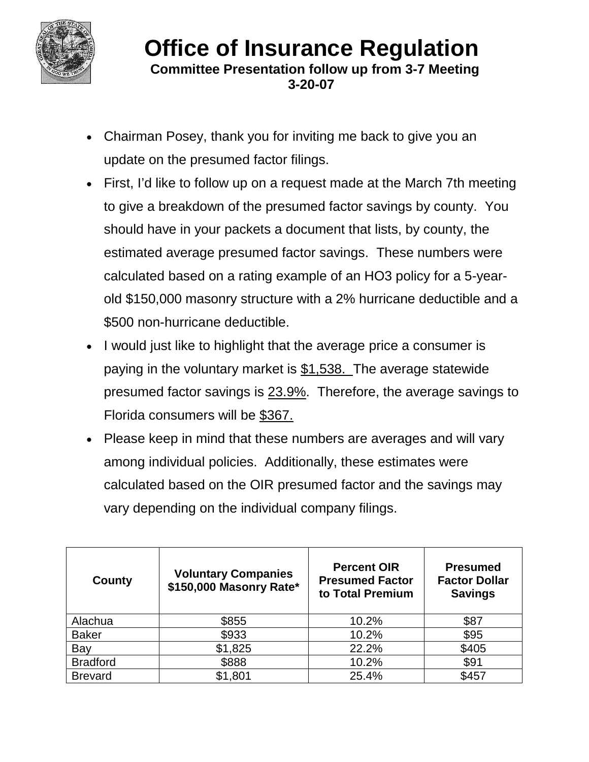

## **Office of Insurance Regulation**<br>Committee Presentation follow up from 3-7 Meeting  **3-20-07**

- Chairman Posey, thank you for inviting me back to give you an update on the presumed factor filings.
- First, I'd like to follow up on a request made at the March 7th meeting to give a breakdown of the presumed factor savings by county. You should have in your packets a document that lists, by county, the estimated average presumed factor savings. These numbers were calculated based on a rating example of an HO3 policy for a 5-yearold \$150,000 masonry structure with a 2% hurricane deductible and a \$500 non-hurricane deductible.
- I would just like to highlight that the average price a consumer is paying in the voluntary market is \$1,538. The average statewide presumed factor savings is 23.9%. Therefore, the average savings to Florida consumers will be \$367.
- Please keep in mind that these numbers are averages and will vary among individual policies. Additionally, these estimates were calculated based on the OIR presumed factor and the savings may vary depending on the individual company filings.

| County          | <b>Voluntary Companies</b><br>\$150,000 Masonry Rate* | <b>Percent OIR</b><br><b>Presumed Factor</b><br>to Total Premium | <b>Presumed</b><br><b>Factor Dollar</b><br><b>Savings</b> |
|-----------------|-------------------------------------------------------|------------------------------------------------------------------|-----------------------------------------------------------|
| Alachua         | \$855                                                 | 10.2%                                                            | \$87                                                      |
| <b>Baker</b>    | \$933                                                 | 10.2%                                                            | \$95                                                      |
| Bay             | \$1,825                                               | 22.2%                                                            | \$405                                                     |
| <b>Bradford</b> | \$888                                                 | 10.2%                                                            | \$91                                                      |
| <b>Brevard</b>  | \$1,801                                               | 25.4%                                                            | \$457                                                     |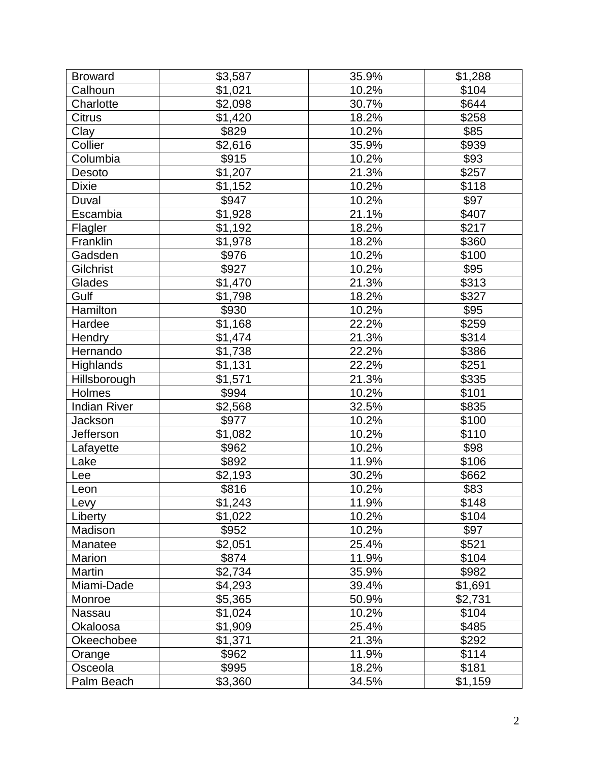| <b>Broward</b>      | \$3,587 | 35.9% | \$1,288          |
|---------------------|---------|-------|------------------|
| Calhoun             | \$1,021 | 10.2% | \$104            |
| Charlotte           | \$2,098 | 30.7% | \$644            |
| <b>Citrus</b>       | \$1,420 | 18.2% | \$258            |
| Clay                | \$829   | 10.2% | \$85             |
| Collier             | \$2,616 | 35.9% | \$939            |
| Columbia            | \$915   | 10.2% | \$93             |
| Desoto              | \$1,207 | 21.3% | \$257            |
| <b>Dixie</b>        | \$1,152 | 10.2% | \$118            |
| Duval               | \$947   | 10.2% | \$97             |
| Escambia            | \$1,928 | 21.1% | \$407            |
| Flagler             | \$1,192 | 18.2% | \$217            |
| Franklin            | \$1,978 | 18.2% | \$360            |
| Gadsden             | \$976   | 10.2% | \$100            |
| Gilchrist           | \$927   | 10.2% | \$95             |
| Glades              | \$1,470 | 21.3% | \$313            |
| Gulf                | \$1,798 | 18.2% | \$327            |
| Hamilton            | \$930   | 10.2% | $\overline{$95}$ |
| Hardee              | \$1,168 | 22.2% | \$259            |
| Hendry              | \$1,474 | 21.3% | \$314            |
| Hernando            | \$1,738 | 22.2% | \$386            |
| <b>Highlands</b>    | \$1,131 | 22.2% | \$251            |
| Hillsborough        | \$1,571 | 21.3% | \$335            |
| Holmes              | \$994   | 10.2% | \$101            |
| <b>Indian River</b> | \$2,568 | 32.5% | \$835            |
| Jackson             | \$977   | 10.2% | \$100            |
| Jefferson           | \$1,082 | 10.2% | \$110            |
| Lafayette           | \$962   | 10.2% | \$98             |
| Lake                | \$892   | 11.9% | \$106            |
| Lee                 | \$2,193 | 30.2% | \$662            |
| Leon                | \$816   | 10.2% | \$83             |
| Levy                | \$1,243 | 11.9% | \$148            |
| Liberty             | \$1,022 | 10.2% | \$104            |
| Madison             | \$952   | 10.2% | \$97             |
| Manatee             | \$2,051 | 25.4% | \$521            |
| Marion              | \$874   | 11.9% | \$104            |
| Martin              | \$2,734 | 35.9% | \$982            |
| Miami-Dade          | \$4,293 | 39.4% | \$1,691          |
| Monroe              | \$5,365 | 50.9% | \$2,731          |
| Nassau              | \$1,024 | 10.2% | \$104            |
| Okaloosa            | \$1,909 | 25.4% | \$485            |
| Okeechobee          | \$1,371 | 21.3% | \$292            |
| Orange              | \$962   | 11.9% | \$114            |
| Osceola             | \$995   | 18.2% | \$181            |
| Palm Beach          | \$3,360 | 34.5% | \$1,159          |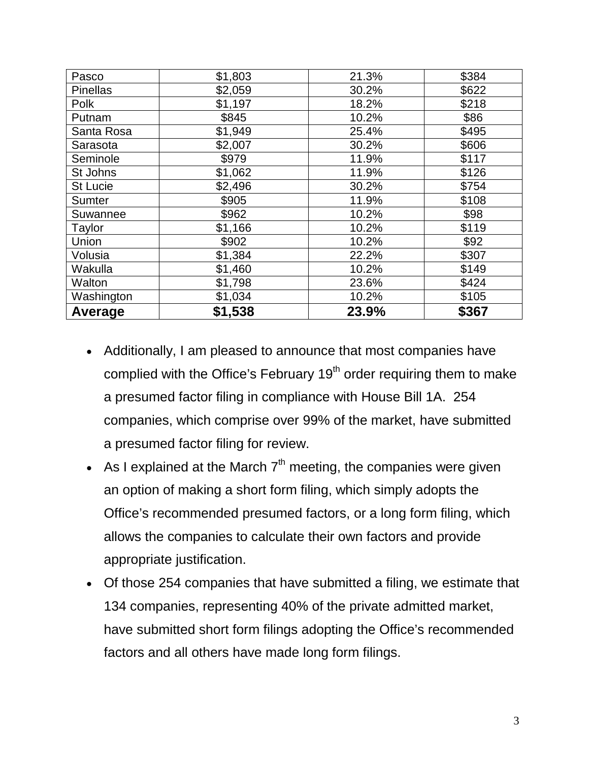| Pasco           | \$1,803 | 21.3% | \$384 |
|-----------------|---------|-------|-------|
| <b>Pinellas</b> | \$2,059 | 30.2% | \$622 |
| Polk            | \$1,197 | 18.2% | \$218 |
| Putnam          | \$845   | 10.2% | \$86  |
| Santa Rosa      | \$1,949 | 25.4% | \$495 |
| Sarasota        | \$2,007 | 30.2% | \$606 |
| Seminole        | \$979   | 11.9% | \$117 |
| St Johns        | \$1,062 | 11.9% | \$126 |
| <b>St Lucie</b> | \$2,496 | 30.2% | \$754 |
| Sumter          | \$905   | 11.9% | \$108 |
| Suwannee        | \$962   | 10.2% | \$98  |
| Taylor          | \$1,166 | 10.2% | \$119 |
| Union           | \$902   | 10.2% | \$92  |
| Volusia         | \$1,384 | 22.2% | \$307 |
| Wakulla         | \$1,460 | 10.2% | \$149 |
| Walton          | \$1,798 | 23.6% | \$424 |
| Washington      | \$1,034 | 10.2% | \$105 |
| Average         | \$1,538 | 23.9% | \$367 |

- Additionally, I am pleased to announce that most companies have complied with the Office's February 19<sup>th</sup> order requiring them to make a presumed factor filing in compliance with House Bill 1A. 254 companies, which comprise over 99% of the market, have submitted a presumed factor filing for review.
- As I explained at the March  $7<sup>th</sup>$  meeting, the companies were given an option of making a short form filing, which simply adopts the Office's recommended presumed factors, or a long form filing, which allows the companies to calculate their own factors and provide appropriate justification.
- Of those 254 companies that have submitted a filing, we estimate that 134 companies, representing 40% of the private admitted market, have submitted short form filings adopting the Office's recommended factors and all others have made long form filings.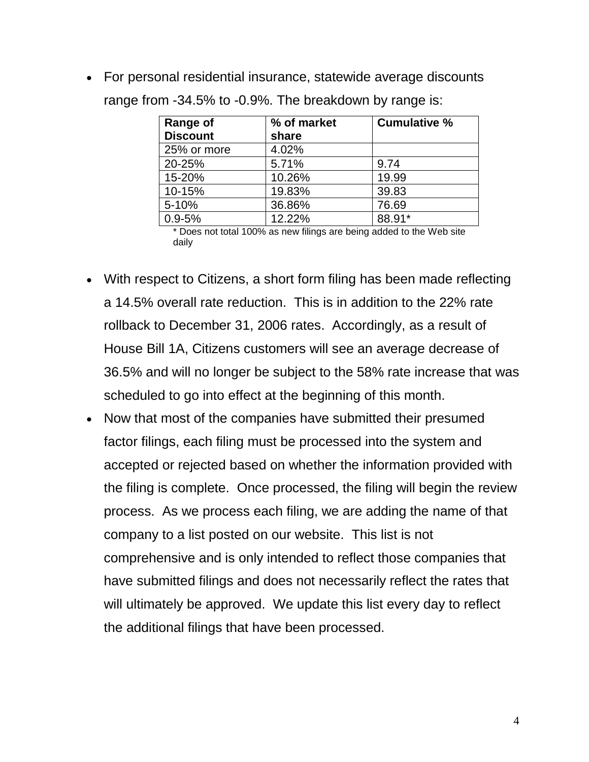• For personal residential insurance, statewide average discounts range from -34.5% to -0.9%. The breakdown by range is:

| Range of<br><b>Discount</b> | % of market<br>share | <b>Cumulative %</b> |
|-----------------------------|----------------------|---------------------|
| 25% or more                 | 4.02%                |                     |
| 20-25%                      | 5.71%                | 9.74                |
| 15-20%                      | 10.26%               | 19.99               |
| 10-15%                      | 19.83%               | 39.83               |
| 5-10%                       | 36.86%               | 76.69               |
| $0.9 - 5%$                  | 12.22%               | 88.91*              |

\* Does not total 100% as new filings are being added to the Web site daily

- With respect to Citizens, a short form filing has been made reflecting a 14.5% overall rate reduction. This is in addition to the 22% rate rollback to December 31, 2006 rates. Accordingly, as a result of House Bill 1A, Citizens customers will see an average decrease of 36.5% and will no longer be subject to the 58% rate increase that was scheduled to go into effect at the beginning of this month.
- Now that most of the companies have submitted their presumed factor filings, each filing must be processed into the system and accepted or rejected based on whether the information provided with the filing is complete. Once processed, the filing will begin the review process. As we process each filing, we are adding the name of that company to a list posted on our website. This list is not comprehensive and is only intended to reflect those companies that have submitted filings and does not necessarily reflect the rates that will ultimately be approved. We update this list every day to reflect the additional filings that have been processed.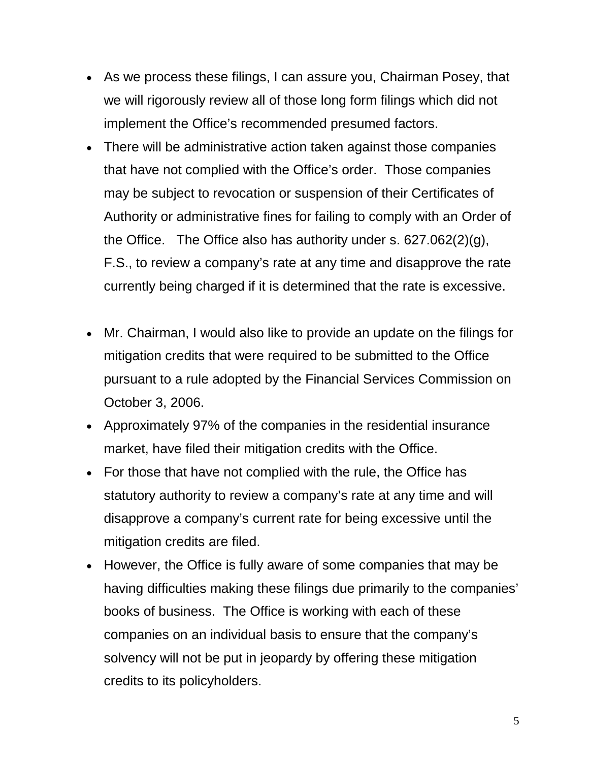- As we process these filings, I can assure you, Chairman Posey, that we will rigorously review all of those long form filings which did not implement the Office's recommended presumed factors.
- There will be administrative action taken against those companies that have not complied with the Office's order. Those companies may be subject to revocation or suspension of their Certificates of Authority or administrative fines for failing to comply with an Order of the Office. The Office also has authority under s. 627.062(2)(g), F.S., to review a company's rate at any time and disapprove the rate currently being charged if it is determined that the rate is excessive.
- Mr. Chairman, I would also like to provide an update on the filings for mitigation credits that were required to be submitted to the Office pursuant to a rule adopted by the Financial Services Commission on October 3, 2006.
- Approximately 97% of the companies in the residential insurance market, have filed their mitigation credits with the Office.
- For those that have not complied with the rule, the Office has statutory authority to review a company's rate at any time and will disapprove a company's current rate for being excessive until the mitigation credits are filed.
- However, the Office is fully aware of some companies that may be having difficulties making these filings due primarily to the companies' books of business. The Office is working with each of these companies on an individual basis to ensure that the company's solvency will not be put in jeopardy by offering these mitigation credits to its policyholders.